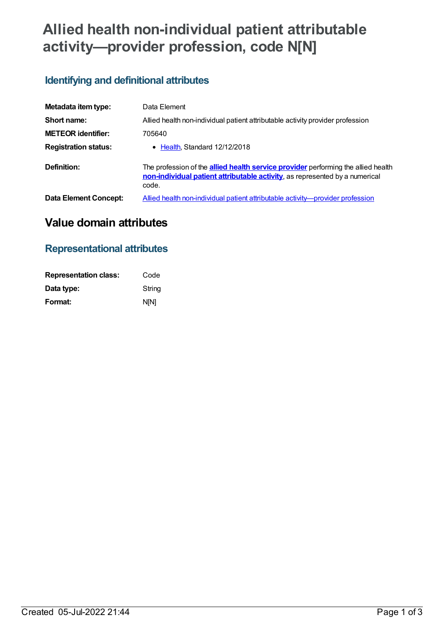# **Allied health non-individual patient attributable activity—provider profession, code N[N]**

### **Identifying and definitional attributes**

| Metadata item type:         | Data Element                                                                                                                                                                     |
|-----------------------------|----------------------------------------------------------------------------------------------------------------------------------------------------------------------------------|
| Short name:                 | Allied health non-individual patient attributable activity provider profession                                                                                                   |
| <b>METEOR identifier:</b>   | 705640                                                                                                                                                                           |
| <b>Registration status:</b> | • Health Standard 12/12/2018                                                                                                                                                     |
| Definition:                 | The profession of the <b>allied health service provider</b> performing the allied health<br>non-individual patient attributable activity, as represented by a numerical<br>code. |
| Data Element Concept:       | Allied health non-individual patient attributable activity—provider profession                                                                                                   |

## **Value domain attributes**

### **Representational attributes**

| <b>Representation class:</b> | Code        |
|------------------------------|-------------|
| Data type:                   | String      |
| Format:                      | <b>NIN1</b> |